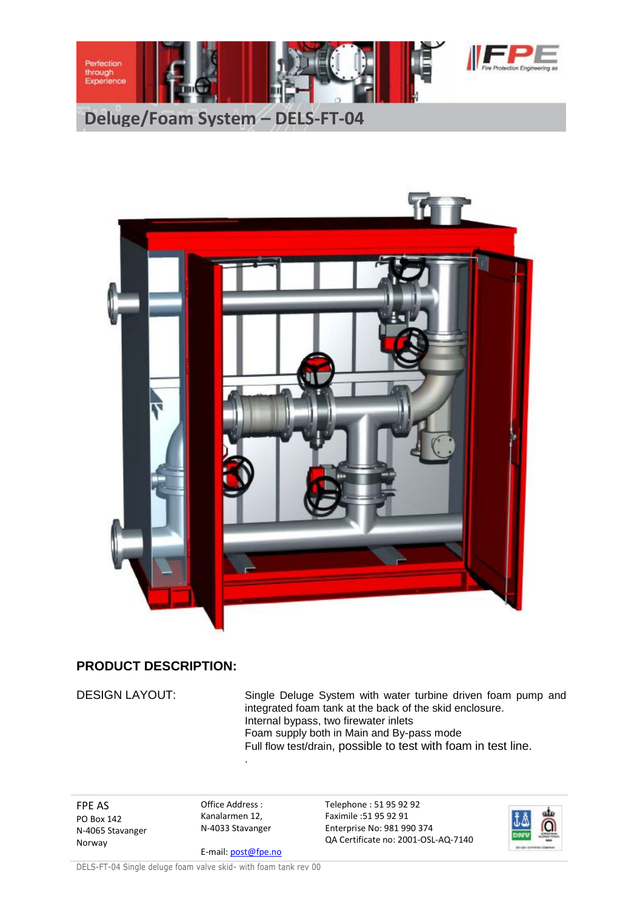



## **PRODUCT DESCRIPTION:**

DESIGN LAYOUT: Single Deluge System with water turbine driven foam pump and integrated foam tank at the back of the skid enclosure. Internal bypass, two firewater inlets Foam supply both in Main and By-pass mode Full flow test/drain, possible to test with foam in test line.

FPE AS PO Box 142 N-4065 Stavanger Norway

Office Address : Kanalarmen 12, N-4033 Stavanger

.

E-mail: post@fpe.no

Telephone : 51 95 92 92 Faximile :51 95 92 91 Enterprise No: 981 990 374 QA Certificate no: 2001-OSL-AQ-7140



DELS-FT-04 Single deluge foam valve skid- with foam tank rev 00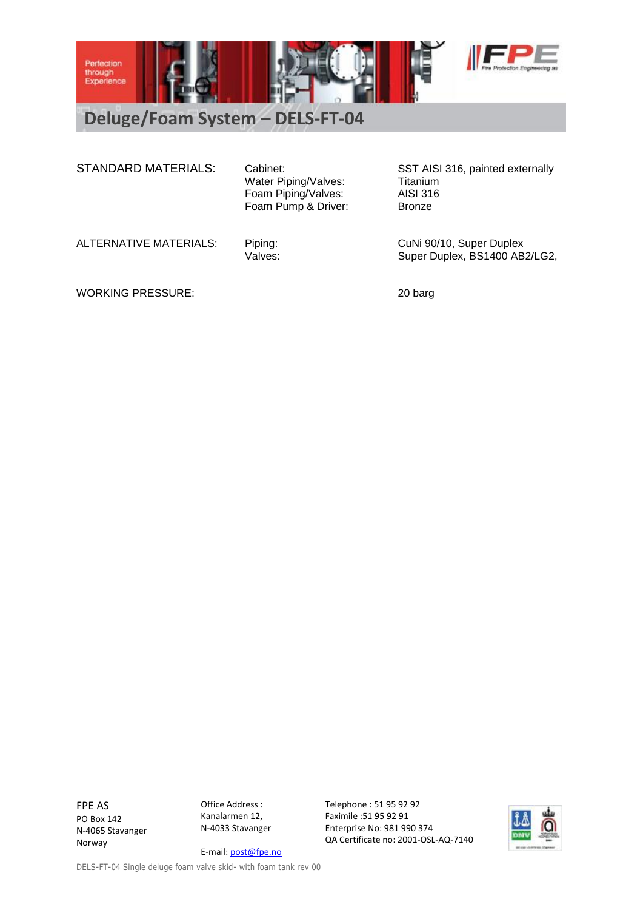

**Deluge/Foam System – DELS-FT-04**

Water Piping/Valves: Titanium Foam Piping/Valves: AISI 316 Foam Pump & Driver: Bronze

STANDARD MATERIALS: Cabinet: SST AISI 316, painted externally

ALTERNATIVE MATERIALS: Piping: CuNi 90/10, Super Duplex<br>Valves: Values: Super Duplex, BS1400 AB Super Duplex, BS1400 AB2/LG2,

WORKING PRESSURE: 20 barg

FPE AS PO Box 142 N-4065 Stavanger Norway

Office Address : Kanalarmen 12, N-4033 Stavanger

E-mail: post@fpe.no

Telephone : 51 95 92 92 Faximile :51 95 92 91 Enterprise No: 981 990 374 QA Certificate no: 2001-OSL-AQ-7140



DELS-FT-04 Single deluge foam valve skid- with foam tank rev 00